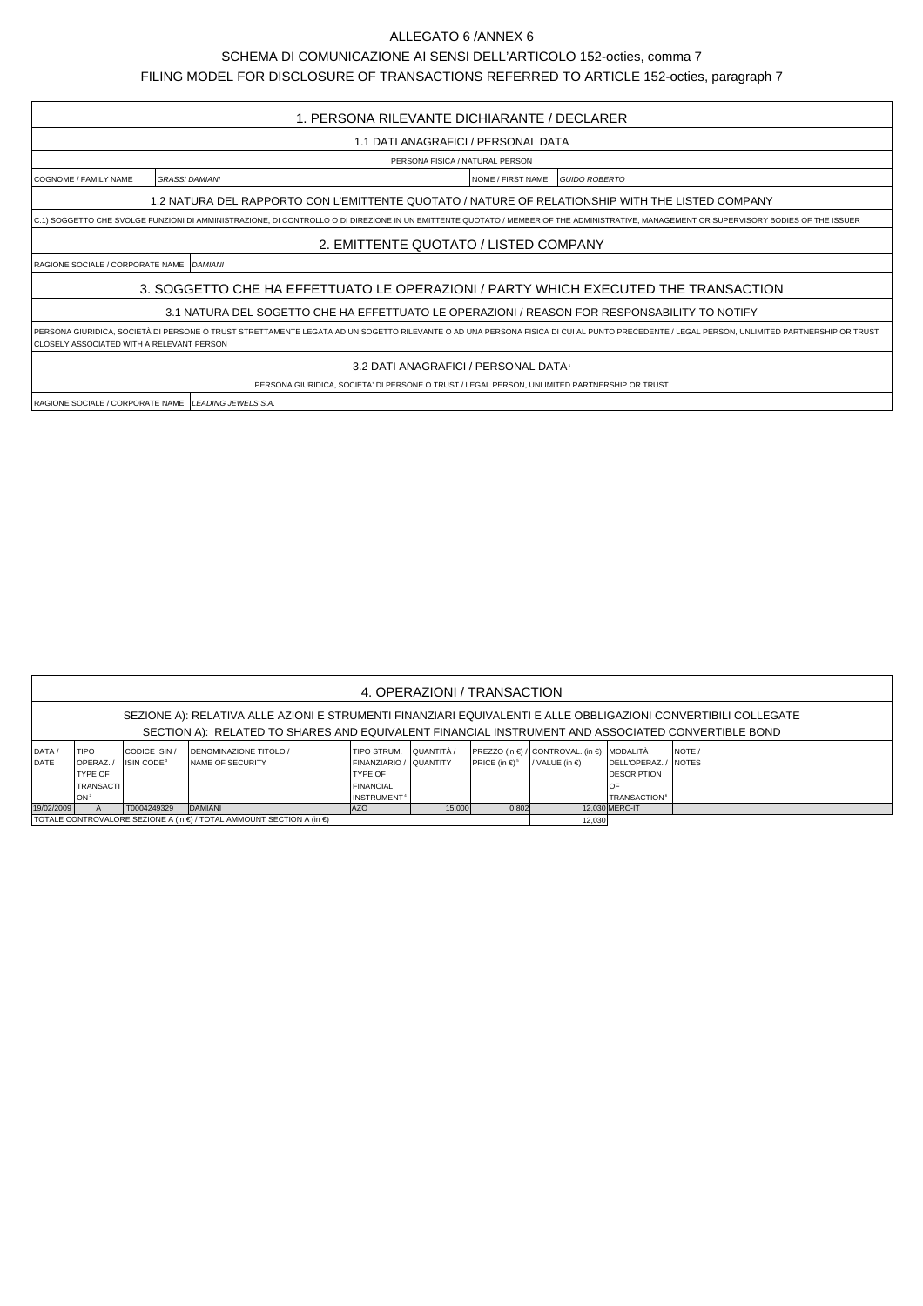## ALLEGATO 6 /ANNEX 6

## SCHEMA DI COMUNICAZIONE AI SENSI DELL'ARTICOLO 152-octies, comma 7

FILING MODEL FOR DISCLOSURE OF TRANSACTIONS REFERRED TO ARTICLE 152-octies, paragraph 7

| 1. PERSONA RILEVANTE DICHIARANTE / DECLARER                                                                                                                                                                                              |                       |                                           |  |  |  |  |  |  |  |
|------------------------------------------------------------------------------------------------------------------------------------------------------------------------------------------------------------------------------------------|-----------------------|-------------------------------------------|--|--|--|--|--|--|--|
| 1.1 DATI ANAGRAFICI / PERSONAL DATA                                                                                                                                                                                                      |                       |                                           |  |  |  |  |  |  |  |
| PERSONA FISICA / NATURAL PERSON                                                                                                                                                                                                          |                       |                                           |  |  |  |  |  |  |  |
| COGNOME / FAMILY NAME                                                                                                                                                                                                                    | <b>GRASSI DAMIANI</b> | <b>GUIDO ROBERTO</b><br>NOME / FIRST NAME |  |  |  |  |  |  |  |
| 1.2 NATURA DEL RAPPORTO CON L'EMITTENTE QUOTATO / NATURE OF RELATIONSHIP WITH THE LISTED COMPANY                                                                                                                                         |                       |                                           |  |  |  |  |  |  |  |
| C.1) SOGGETTO CHE SVOLGE FUNZIONI DI AMMINISTRAZIONE, DI CONTROLLO O DI DIREZIONE IN UN EMITTENTE QUOTATO / MEMBER OF THE ADMINISTRATIVE, MANAGEMENT OR SUPERVISORY BODIES OF THE ISSUER                                                 |                       |                                           |  |  |  |  |  |  |  |
| 2. EMITTENTE QUOTATO / LISTED COMPANY                                                                                                                                                                                                    |                       |                                           |  |  |  |  |  |  |  |
| RAGIONE SOCIALE / CORPORATE NAME   DAMIANI                                                                                                                                                                                               |                       |                                           |  |  |  |  |  |  |  |
| 3. SOGGETTO CHE HA EFFETTUATO LE OPERAZIONI / PARTY WHICH EXECUTED THE TRANSACTION                                                                                                                                                       |                       |                                           |  |  |  |  |  |  |  |
| 3.1 NATURA DEL SOGETTO CHE HA EFFETTUATO LE OPERAZIONI / REASON FOR RESPONSABILITY TO NOTIFY                                                                                                                                             |                       |                                           |  |  |  |  |  |  |  |
| PERSONA GIURIDICA, SOCIETÀ DI PERSONE O TRUST STRETTAMENTE LEGATA AD UN SOGETTO RILEVANTE O AD UNA PERSONA FISICA DI CUI AL PUNTO PRECEDENTE / LEGAL PERSON, UNLIMITED PARTNERSHIP OR TRUST<br>CLOSELY ASSOCIATED WITH A RELEVANT PERSON |                       |                                           |  |  |  |  |  |  |  |
| 3.2 DATI ANAGRAFICI / PERSONAL DATA                                                                                                                                                                                                      |                       |                                           |  |  |  |  |  |  |  |
| PERSONA GIURIDICA, SOCIETA' DI PERSONE O TRUST / LEGAL PERSON, UNLIMITED PARTNERSHIP OR TRUST                                                                                                                                            |                       |                                           |  |  |  |  |  |  |  |
| RAGIONE SOCIALE / CORPORATE NAME LEADING JEWELS S.A.                                                                                                                                                                                     |                       |                                           |  |  |  |  |  |  |  |

| 4. OPERAZIONI / TRANSACTION                                                                                                                                                                                         |                                                                                          |                                             |                                                                                                   |                                                                                                        |                   |                                |                                                                        |                                                                       |                         |  |  |
|---------------------------------------------------------------------------------------------------------------------------------------------------------------------------------------------------------------------|------------------------------------------------------------------------------------------|---------------------------------------------|---------------------------------------------------------------------------------------------------|--------------------------------------------------------------------------------------------------------|-------------------|--------------------------------|------------------------------------------------------------------------|-----------------------------------------------------------------------|-------------------------|--|--|
| SEZIONE A): RELATIVA ALLE AZIONI E STRUMENTI FINANZIARI EQUIVALENTI E ALLE OBBLIGAZIONI CONVERTIBILI COLLEGATE<br>SECTION A): RELATED TO SHARES AND EQUIVALENT FINANCIAL INSTRUMENT AND ASSOCIATED CONVERTIBLE BOND |                                                                                          |                                             |                                                                                                   |                                                                                                        |                   |                                |                                                                        |                                                                       |                         |  |  |
| DATA/<br>DATE                                                                                                                                                                                                       | <b>TIPO</b><br><b>IOPERAZ.</b><br><b>TYPE OF</b><br><b>TRANSACTI</b><br>lon <sup>2</sup> | CODICE ISIN<br><b>ISIN CODE<sup>3</sup></b> | <b>IDENOMINAZIONE TITOLO /</b><br><b>INAME OF SECURITY</b>                                        | TIPO STRUM.<br>FINANZIARIO / QUANTITY<br><b>TYPE OF</b><br><b>FINANCIAL</b><br>INSTRUMENT <sup>+</sup> | <b>QUANTITÀ</b> / | PRICE (in $\in$ ) <sup>5</sup> | PREZZO (in €) / CONTROVAL. (in €) MODALITÀ<br>/ VALUE (in $\epsilon$ ) | DELL'OPERAZ.<br><b>DESCRIPTION</b><br><b>TRANSACTION</b> <sup>6</sup> | INOTE /<br><b>NOTES</b> |  |  |
| 19/02/2009                                                                                                                                                                                                          |                                                                                          | IT0004249329                                | DAMIANI<br><b>JAZO</b><br>I TOTALE CONTROVALORE SEZIONE A (in €) / TOTAL AMMOUNT SECTION A (in €) | 0.802<br>12,030                                                                                        | 12.030 MERC-IT    |                                |                                                                        |                                                                       |                         |  |  |